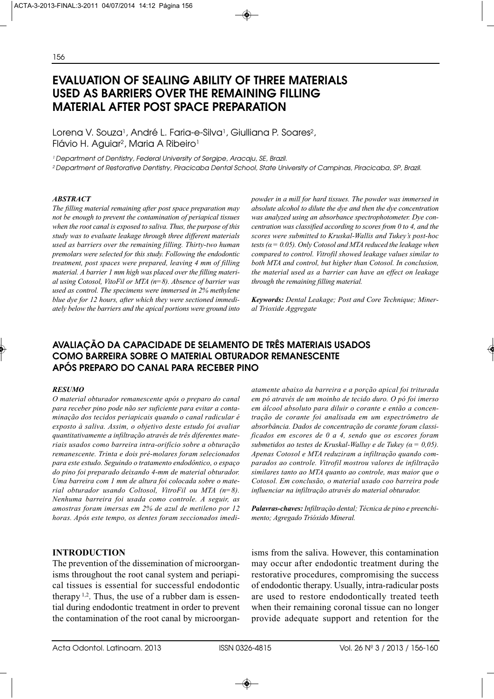# **EVALUATION OF SEALING ABILITY OF THREE MATERIALS USED AS BARRIERS OVER THE REMAINING FILLING MATERIAL AFTER POST SPACE PREPARATION**

Lorena V. Souza<sup>1</sup>, André L. Faria-e-Silva<sup>1</sup>, Giulliana P. Soares<sup>2</sup>, Flávio H. Aguiar<sup>2</sup>, Maria A Ribeiro<sup>1</sup>

<sup>1</sup> Department of Dentistry, Federal University of Sergipe, Aracaju, SE, Brazil.

2 Department of Restorative Dentistry, Piracicaba Dental School, State University of Campinas, Piracicaba, SP, Brazil.

#### *ABSTRACT*

*The filling material remaining after post space preparation may not be enough to prevent the contamination of periapical tissues when the root canal is exposed to saliva. Thus, the purpose of this study was to evaluate leakage through three different materials used as barriers over the remaining filling. Thirty-two human premolars were selected for this study. Following the endodontic treatment, post spaces were prepared, leaving 4 mm of filling material. A barrier 1 mm high was placed over the filling material using Cotosol, VitoFil or MTA (n=8). Absence of barrier was used as control. The specimens were immersed in 2% methylene blue dye for 12 hours, after which they were sectioned immediately below the barriers and the apical portions were ground into* *powder in a mill for hard tissues. The powder was immersed in absolute alcohol to dilute the dye and then the dye concentration was analyzed using an absorbance spectrophotometer. Dye concentration was classified according to scores from 0 to 4, and the scores were submitted to Kruskal-Wallis and Tukey's post-hoc tests (α = 0.05). Only Cotosol and MTA reduced the leakage when compared to control. Vitrofil showed leakage values similar to both MTA and control, but higher than Cotosol. In conclusion, the material used as a barrier can have an effect on leakage through the remaining filling material.*

*Keywords: Dental Leakage; Post and Core Technique; Mineral Trioxide Aggregate*

# **AVALIAÇÃO DA CAPACIDADE DE SELAMENTO DE TRÊS MATERIAIS USADOS COMO BARREIRA SOBRE O MATERIAL OBTURADOR REMANESCENTE APÓS PREPARO DO CANAL PARA RECEBER PINO**

#### *RESUMO*

*O material obturador remanescente após o preparo do canal para receber pino pode não ser suficiente para evitar a contaminação dos tecidos periapicais quando o canal radicular é exposto à saliva. Assim, o objetivo deste estudo foi avaliar quantitativamente a infiltração através de três diferentes materiais usados como barreira intra-orifício sobre a obturação remanescente. Trinta e dois pré-molares foram selecionados para este estudo. Seguindo o tratamento endodôntico, o espaço do pino foi preparado deixando 4-mm de material obturador. Uma barreira com 1 mm de altura foi colocada sobre o material obturador usando Coltosol, VitroFil ou MTA (n=8). Nenhuma barreira foi usada como controle. A seguir, as amostras foram imersas em 2% de azul de metileno por 12 horas. Após este tempo, os dentes foram seccionados imedi-*

### **INTRODUCTION**

The prevention of the dissemination of microorganisms throughout the root canal system and periapical tissues is essential for successful endodontic therapy 1,2. Thus, the use of a rubber dam is essential during endodontic treatment in order to prevent the contamination of the root canal by microorgan*atamente abaixo da barreira e a porção apical foi triturada em pó através de um moinho de tecido duro. O pó foi imerso em álcool absoluto para diluir o corante e então a concentração de corante foi analisada em um espectrômetro de absorbância. Dados de concentração de corante foram classificados em escores de 0 a 4, sendo que os escores foram submetidos ao testes de Kruskal-Walluy e de Tukey (α = 0,05). Apenas Cotosol e MTA reduziram a infiltração quando comparados ao controle. Vitrofil mostrou valores de infiltração similares tanto ao MTA quanto ao controle, mas maior que o Cotosol. Em conclusão, o material usado coo barreira pode influenciar na infiltração através do material obturador.*

*Palavras-chaves: Infiltração dental; Técnica de pino e preenchimento; Agregado Trióxido Mineral.*

isms from the saliva. However, this contamination may occur after endodontic treatment during the restorative procedures, compromising the success of endodontic therapy. Usually, intra-radicular posts are used to restore endodontically treated teeth when their remaining coronal tissue can no longer provide adequate support and retention for the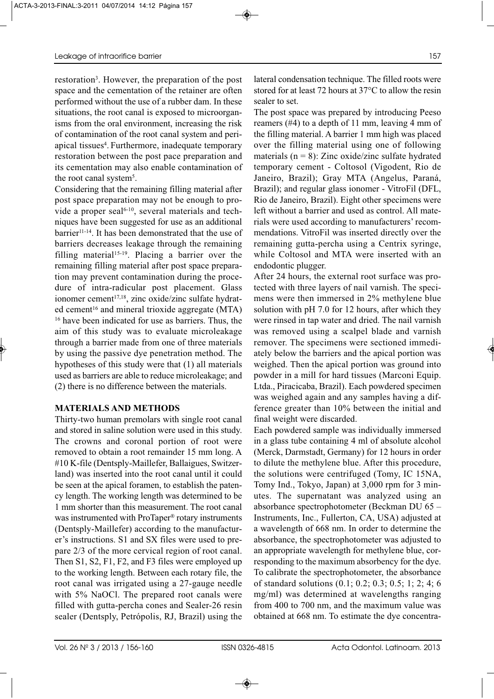restoration<sup>3</sup>. However, the preparation of the post space and the cementation of the retainer are often performed without the use of a rubber dam. In these situations, the root canal is exposed to microorganisms from the oral environment, increasing the risk of contamination of the root canal system and periapical tissues<sup>4</sup>. Furthermore, inadequate temporary restoration between the post pace preparation and its cementation may also enable contamination of the root canal system<sup>5</sup>.

Considering that the remaining filling material after post space preparation may not be enough to provide a proper seal<sup>6-10</sup>, several materials and techniques have been suggested for use as an additional barrier<sup>11-14</sup>. It has been demonstrated that the use of barriers decreases leakage through the remaining filling material<sup>15-19</sup>. Placing a barrier over the remaining filling material after post space preparation may prevent contamination during the procedure of intra-radicular post placement. Glass ionomer cement<sup>17,18</sup>, zinc oxide/zinc sulfate hydrated cement<sup>16</sup> and mineral trioxide aggregate (MTA) <sup>16</sup> have been indicated for use as barriers. Thus, the aim of this study was to evaluate microleakage through a barrier made from one of three materials by using the passive dye penetration method. The hypotheses of this study were that (1) all materials used as barriers are able to reduce microleakage; and (2) there is no difference between the materials.

# **MATERIALS AND METHODS**

Thirty-two human premolars with single root canal and stored in saline solution were used in this study. The crowns and coronal portion of root were removed to obtain a root remainder 15 mm long. A #10 K-file (Dentsply-Maillefer, Ballaigues, Switzerland) was inserted into the root canal until it could be seen at the apical foramen, to establish the patency length. The working length was determined to be 1 mm shorter than this measurement. The root canal was instrumented with ProTaper® rotary instruments (Dentsply-Maillefer) according to the manufacturer's instructions. S1 and SX files were used to prepare 2/3 of the more cervical region of root canal. Then S1, S2, F1, F2, and F3 files were employed up to the working length. Between each rotary file, the root canal was irrigated using a 27-gauge needle with 5% NaOCl. The prepared root canals were filled with gutta-percha cones and Sealer-26 resin sealer (Dentsply, Petrópolis, RJ, Brazil) using the lateral condensation technique. The filled roots were stored for at least 72 hours at 37°C to allow the resin sealer to set.

The post space was prepared by introducing Peeso reamers (#4) to a depth of 11 mm, leaving 4 mm of the filling material. A barrier 1 mm high was placed over the filling material using one of following materials ( $n = 8$ ): Zinc oxide/zinc sulfate hydrated temporary cement - Coltosol (Vigodent, Rio de Janeiro, Brazil); Gray MTA (Angelus, Paraná, Brazil); and regular glass ionomer - VitroFil (DFL, Rio de Janeiro, Brazil). Eight other specimens were left without a barrier and used as control. All materials were used according to manufacturers' recommendations. VitroFil was inserted directly over the remaining gutta-percha using a Centrix syringe, while Coltosol and MTA were inserted with an endodontic plugger.

After 24 hours, the external root surface was protected with three layers of nail varnish. The specimens were then immersed in 2% methylene blue solution with pH 7.0 for 12 hours, after which they were rinsed in tap water and dried. The nail varnish was removed using a scalpel blade and varnish remover. The specimens were sectioned immediately below the barriers and the apical portion was weighed. Then the apical portion was ground into powder in a mill for hard tissues (Marconi Equip. Ltda., Piracicaba, Brazil). Each powdered specimen was weighed again and any samples having a difference greater than 10% between the initial and final weight were discarded.

Each powdered sample was individually immersed in a glass tube containing 4 ml of absolute alcohol (Merck, Darmstadt, Germany) for 12 hours in order to dilute the methylene blue. After this procedure, the solutions were centrifuged (Tomy, IC 15NA, Tomy Ind., Tokyo, Japan) at 3,000 rpm for 3 minutes. The supernatant was analyzed using an absorbance spectrophotometer (Beckman DU 65 – Instruments, Inc., Fullerton, CA, USA) adjusted at a wavelength of 668 nm. In order to determine the absorbance, the spectrophotometer was adjusted to an appropriate wavelength for methylene blue, corresponding to the maximum absorbency for the dye. To calibrate the spectrophotometer, the absorbance of standard solutions (0.1; 0.2; 0.3; 0.5; 1; 2; 4; 6 mg/ml) was determined at wavelengths ranging from 400 to 700 nm, and the maximum value was obtained at 668 nm. To estimate the dye concentra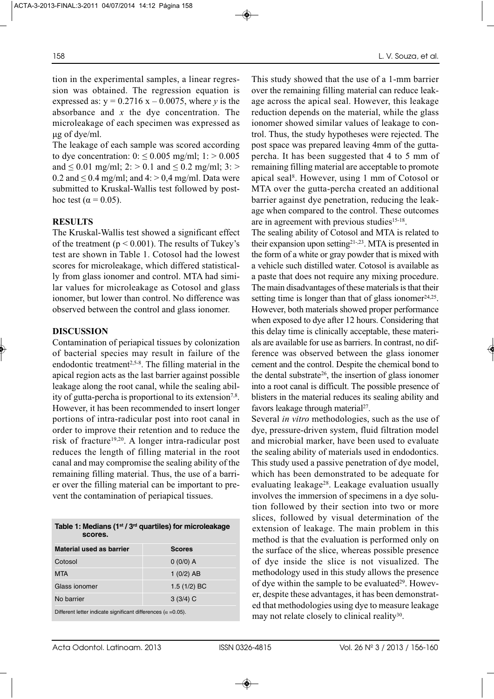tion in the experimental samples, a linear regression was obtained. The regression equation is expressed as:  $y = 0.2716 x - 0.0075$ , where *y* is the absorbance and *x* the dye concentration. The microleakage of each specimen was expressed as μg of dye/ml.

The leakage of each sample was scored according to dye concentration:  $0: \leq 0.005$  mg/ml;  $1: > 0.005$ and  $\leq 0.01$  mg/ml; 2:  $> 0.1$  and  $\leq 0.2$  mg/ml; 3:  $>$ 0.2 and  $\leq$  0.4 mg/ml; and 4:  $>$  0,4 mg/ml. Data were submitted to Kruskal-Wallis test followed by posthoc test ( $\alpha$  = 0.05).

## **RESULTS**

The Kruskal-Wallis test showed a significant effect of the treatment ( $p < 0.001$ ). The results of Tukey's test are shown in Table 1. Cotosol had the lowest scores for microleakage, which differed statistically from glass ionomer and control. MTA had similar values for microleakage as Cotosol and glass ionomer, but lower than control. No difference was observed between the control and glass ionomer.

## **DISCUSSION**

Contamination of periapical tissues by colonization of bacterial species may result in failure of the endodontic treatment<sup>2,5-8</sup>. The filling material in the apical region acts as the last barrier against possible leakage along the root canal, while the sealing ability of gutta-percha is proportional to its extension<sup>7,8</sup>. However, it has been recommended to insert longer portions of intra-radicular post into root canal in order to improve their retention and to reduce the risk of fracture19,20. A longer intra-radicular post reduces the length of filling material in the root canal and may compromise the sealing ability of the remaining filling material. Thus, the use of a barrier over the filling material can be important to prevent the contamination of periapical tissues.

| Table 1: Medians $(1st / 3rd$ quartiles) for microleakage<br>scores. |               |
|----------------------------------------------------------------------|---------------|
| Material used as barrier                                             | <b>Scores</b> |
| Cotosol                                                              | $0(0/0)$ A    |
| <b>MTA</b>                                                           | 1 $(0/2)$ AB  |
| Glass ionomer                                                        | $1.5(1/2)$ BC |
| No barrier                                                           | $3(3/4)$ C    |
| Different letter indicate significant differences ( $\alpha$ =0.05). |               |

158 L. V. Souza, et al.

This study showed that the use of a 1-mm barrier over the remaining filling material can reduce leakage across the apical seal. However, this leakage reduction depends on the material, while the glass ionomer showed similar values of leakage to control. Thus, the study hypotheses were rejected. The post space was prepared leaving 4mm of the guttapercha. It has been suggested that 4 to 5 mm of remaining filling material are acceptable to promote apical seal8. However, using 1 mm of Cotosol or MTA over the gutta-percha created an additional barrier against dye penetration, reducing the leakage when compared to the control. These outcomes are in agreement with previous studies<sup>15-18</sup>.

The sealing ability of Cotosol and MTA is related to their expansion upon setting21-,23. MTA is presented in the form of a white or gray powder that is mixed with a vehicle such distilled water. Cotosol is available as a paste that does not require any mixing procedure. The main disadvantages of these materials is that their setting time is longer than that of glass ionomer<sup>24,25</sup>. However, both materials showed proper performance when exposed to dye after 12 hours. Considering that this delay time is clinically acceptable, these materials are available for use as barriers. In contrast, no difference was observed between the glass ionomer cement and the control. Despite the chemical bond to the dental substrate<sup>26</sup>, the insertion of glass ionomer into a root canal is difficult. The possible presence of blisters in the material reduces its sealing ability and favors leakage through material<sup>27</sup>.

Several *in vitro* methodologies, such as the use of dye, pressure-driven system, fluid filtration model and microbial marker, have been used to evaluate the sealing ability of materials used in endodontics. This study used a passive penetration of dye model, which has been demonstrated to be adequate for evaluating leakage<sup>28</sup>. Leakage evaluation usually involves the immersion of specimens in a dye solution followed by their section into two or more slices, followed by visual determination of the extension of leakage. The main problem in this method is that the evaluation is performed only on the surface of the slice, whereas possible presence of dye inside the slice is not visualized. The methodology used in this study allows the presence of dye within the sample to be evaluated $29$ . However, despite these advantages, it has been demonstrated that methodologies using dye to measure leakage may not relate closely to clinical reality<sup>30</sup>.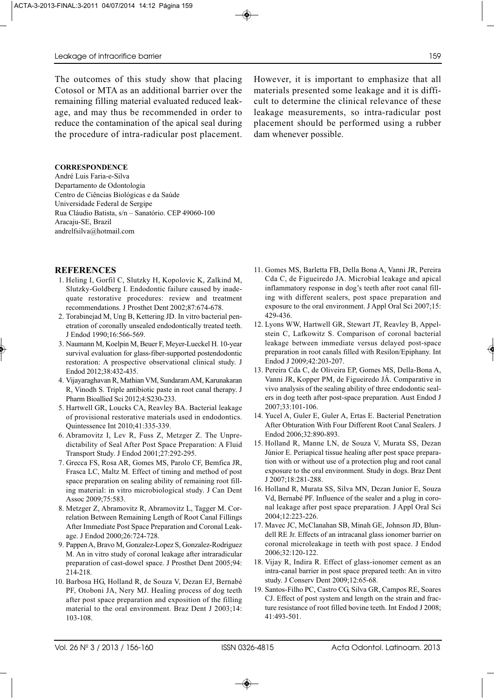The outcomes of this study show that placing Cotosol or MTA as an additional barrier over the remaining filling material evaluated reduced leakage, and may thus be recommended in order to reduce the contamination of the apical seal during the procedure of intra-radicular post placement.

However, it is important to emphasize that all materials presented some leakage and it is difficult to determine the clinical relevance of these leakage measurements, so intra-radicular post placement should be performed using a rubber dam whenever possible.

### **CORRESPONDENCE**

André Luis Faria-e-Silva Departamento de Odontologia Centro de Ciências Biológicas e da Saúde Universidade Federal de Sergipe Rua Cláudio Batista, s/n – Sanatório. CEP 49060-100 Aracaju-SE, Brazil andrelfsilva@hotmail.com

### **REFERENCES**

- 1. Heling I, Gorfil C, Slutzky H, Kopolovic K, Zalkind M, Slutzky-Goldberg I. Endodontic failure caused by inadequate restorative procedures: review and treatment recommendations. J Prosthet Dent 2002;87:674-678.
- 2. Torabinejad M, Ung B, Kettering JD. In vitro bacterial penetration of coronally unsealed endodontically treated teeth. J Endod 1990;16:566-569.
- 3. Naumann M, Koelpin M, Beuer F, Meyer-Lueckel H. 10-year survival evaluation for glass-fiber-supported postendodontic restoration: A prospective observational clinical study. J Endod 2012;38:432-435.
- 4. Vijayaraghavan R, Mathian VM, Sundaram AM, Karunakaran R, Vinodh S. Triple antibiotic paste in root canal therapy. J Pharm Bioallied Sci 2012;4:S230-233.
- 5. Hartwell GR, Loucks CA, Reavley BA. Bacterial leakage of provisional restorative materials used in endodontics. Quintessence Int 2010;41:335-339.
- 6. Abramovitz I, Lev R, Fuss Z, Metzger Z. The Unpredictability of Seal After Post Space Preparation: A Fluid Transport Study. J Endod 2001;27:292-295.
- 7. Grecca FS, Rosa AR, Gomes MS, Parolo CF, Bemfica JR, Frasca LC, Maltz M. Effect of timing and method of post space preparation on sealing ability of remaining root filling material: in vitro microbiological study. J Can Dent Assoc 2009;75:583.
- 8. Metzger Z, Abramovitz R, Abramovitz L, Tagger M. Correlation Between Remaining Length of Root Canal Fillings After Immediate Post Space Preparation and Coronal Leakage. J Endod 2000;26:724-728.
- 9. Pappen A, Bravo M, Gonzalez-Lopez S, Gonzalez-Rodriguez M. An in vitro study of coronal leakage after intraradicular preparation of cast-dowel space. J Prosthet Dent 2005;94: 214-218.
- 10. Barbosa HG, Holland R, de Souza V, Dezan EJ, Bernabé PF, Otoboni JA, Nery MJ. Healing process of dog teeth after post space preparation and exposition of the filling material to the oral environment. Braz Dent J 2003;14: 103-108.
- 11. Gomes MS, Barletta FB, Della Bona A, Vanni JR, Pereira Cda C, de Figueiredo JA. Microbial leakage and apical inflammatory response in dog's teeth after root canal filling with different sealers, post space preparation and exposure to the oral environment. J Appl Oral Sci 2007;15: 429-436.
- 12. Lyons WW, Hartwell GR, Stewart JT, Reavley B, Appelstein C, Lafkowitz S. Comparison of coronal bacterial leakage between immediate versus delayed post-space preparation in root canals filled with Resilon/Epiphany. Int Endod J 2009;42:203-207.
- 13. Pereira Cda C, de Oliveira EP, Gomes MS, Della-Bona A, Vanni JR, Kopper PM, de Figueiredo JÁ. Comparative in vivo analysis of the sealing ability of three endodontic sealers in dog teeth after post-space preparation. Aust Endod J 2007;33:101-106.
- 14. Yucel A, Guler E, Guler A, Ertas E. Bacterial Penetration After Obturation With Four Different Root Canal Sealers. J Endod 2006;32:890-893.
- 15. Holland R, Manne LN, de Souza V, Murata SS, Dezan Júnior E. Periapical tissue healing after post space preparation with or without use of a protection plug and root canal exposure to the oral environment. Study in dogs. Braz Dent J 2007;18:281-288.
- 16. Holland R, Murata SS, Silva MN, Dezan Junior E, Souza Vd, Bernabé PF. Influence of the sealer and a plug in coronal leakage after post space preparation. J Appl Oral Sci 2004;12:223-226.
- 17. Mavec JC, McClanahan SB, Minah GE, Johnson JD, Blundell RE Jr. Effects of an intracanal glass ionomer barrier on coronal microleakage in teeth with post space. J Endod 2006;32:120-122.
- 18. Vijay R, Indira R. Effect of glass-ionomer cement as an intra-canal barrier in post space prepared teeth: An in vitro study. J Conserv Dent 2009;12:65-68.
- 19. Santos-Filho PC, Castro CG, Silva GR, Campos RE, Soares CJ. Effect of post system and length on the strain and fracture resistance of root filled bovine teeth. Int Endod J 2008; 41:493-501.